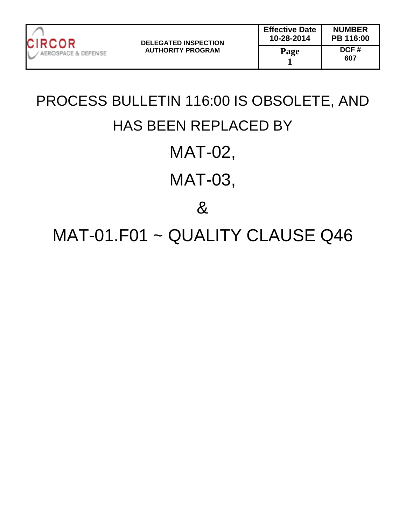

PROCESS BULLETIN 116:00 IS OBSOLETE, AND HAS BEEN REPLACED BY MAT-02, MAT-03, & MAT-01.F01 ~ QUALITY CLAUSE Q46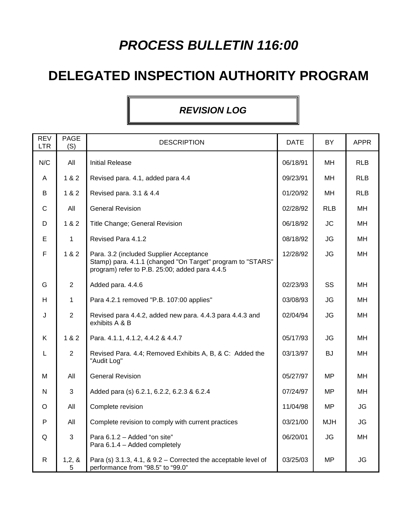## **PROCESS BULLETIN 116:00**

## **DELEGATED INSPECTION AUTHORITY PROGRAM**

## **REVISION LOG**

| <b>REV</b><br><b>LTR</b> | <b>PAGE</b><br>(S) | <b>DESCRIPTION</b>                                                                                                                                      | <b>DATE</b> | BY         | <b>APPR</b> |
|--------------------------|--------------------|---------------------------------------------------------------------------------------------------------------------------------------------------------|-------------|------------|-------------|
| N/C                      | All                | <b>Initial Release</b>                                                                                                                                  | 06/18/91    | MH         | <b>RLB</b>  |
| A                        | 1 & 2              | Revised para. 4.1, added para 4.4                                                                                                                       | 09/23/91    | MH         | <b>RLB</b>  |
| B                        | 1 & 2              | Revised para. 3.1 & 4.4                                                                                                                                 | 01/20/92    | MH         | <b>RLB</b>  |
| $\mathsf{C}$             | All                | <b>General Revision</b>                                                                                                                                 | 02/28/92    | <b>RLB</b> | <b>MH</b>   |
| D                        | 1 & 2              | Title Change; General Revision                                                                                                                          | 06/18/92    | <b>JC</b>  | MH          |
| Е                        | $\mathbf{1}$       | Revised Para 4.1.2                                                                                                                                      | 08/18/92    | <b>JG</b>  | MН          |
| $\mathsf F$              | 1 & 2              | Para. 3.2 (included Supplier Acceptance<br>Stamp) para. 4.1.1 (changed "On Target" program to "STARS"<br>program) refer to P.B. 25:00; added para 4.4.5 | 12/28/92    | <b>JG</b>  | MН          |
| G                        | $\overline{2}$     | Added para. 4.4.6                                                                                                                                       | 02/23/93    | SS         | MH          |
| H                        | $\mathbf{1}$       | Para 4.2.1 removed "P.B. 107:00 applies"                                                                                                                | 03/08/93    | <b>JG</b>  | <b>MH</b>   |
| J                        | $\overline{2}$     | Revised para 4.4.2, added new para. 4.4.3 para 4.4.3 and<br>exhibits A & B                                                                              | 02/04/94    | <b>JG</b>  | MH          |
| K                        | 1 & 2              | Para. 4.1.1, 4.1.2, 4.4.2 & 4.4.7                                                                                                                       | 05/17/93    | <b>JG</b>  | MН          |
| L                        | $\overline{2}$     | Revised Para. 4.4; Removed Exhibits A, B, & C: Added the<br>"Audit Log"                                                                                 | 03/13/97    | <b>BJ</b>  | <b>MH</b>   |
| м                        | All                | <b>General Revision</b>                                                                                                                                 | 05/27/97    | <b>MP</b>  | <b>MH</b>   |
| ${\sf N}$                | 3                  | Added para (s) 6.2.1, 6.2.2, 6.2.3 & 6.2.4                                                                                                              | 07/24/97    | <b>MP</b>  | MH          |
| $\circ$                  | All                | Complete revision                                                                                                                                       | 11/04/98    | <b>MP</b>  | <b>JG</b>   |
| $\mathsf{P}$             | All                | Complete revision to comply with current practices                                                                                                      | 03/21/00    | <b>MJH</b> | JG          |
| Q                        | 3                  | Para 6.1.2 - Added "on site"<br>Para 6.1.4 - Added completely                                                                                           | 06/20/01    | <b>JG</b>  | MH          |
| $\mathsf{R}$             | 1, 2, 8<br>5       | Para (s) 3.1.3, 4.1, $& 9.2 -$ Corrected the acceptable level of<br>performance from "98.5" to "99.0"                                                   | 03/25/03    | MP         | JG          |